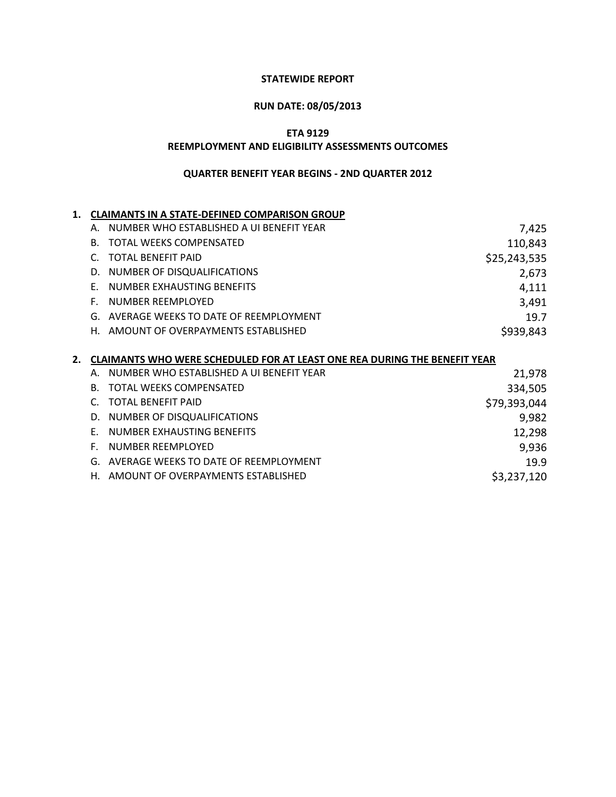### **STATEWIDE REPORT**

### **RUN DATE: 08/05/2013**

### **ETA 9129**

#### **REEMPLOYMENT AND ELIGIBILITY ASSESSMENTS OUTCOMES**

### **QUARTER BENEFIT YEAR BEGINS - 2ND QUARTER 2012**

# **1. CLAIMANTS IN A STATE-DEFINED COMPARISON GROUP** A. NUMBER WHO ESTABLISHED A UI BENEFIT YEAR **FILL ASSAULT 1241** 7,425 B. TOTAL WEEKS COMPENSATED 110,843 C. TOTAL BENEFIT PAID \$25,243,535 D. NUMBER OF DISQUALIFICATIONS 2,673 E. NUMBER EXHAUSTING BENEFITS 4,111 F. NUMBER REEMPLOYED 3,491 G. AVERAGE WEEKS TO DATE OF REEMPLOYMENT THE SAME RESOLUTION OF A 19.7 H. AMOUNT OF OVERPAYMENTS ESTABLISHED **SALLS ARE ASSESSED** \$939,843 **2. CLAIMANTS WHO WERE SCHEDULED FOR AT LEAST ONE REA DURING THE BENEFIT YEAR** A. NUMBER WHO ESTABLISHED A UI BENEFIT YEAR 21,978 B. TOTAL WEEKS COMPENSATED 334,505 C. TOTAL BENEFIT PAID \$79,393,044 D. NUMBER OF DISQUALIFICATIONS 9,982 E. NUMBER EXHAUSTING BENEFITS 12,298 F. NUMBER REEMPLOYED 9,936 G. AVERAGE WEEKS TO DATE OF REEMPLOYMENT **19.9**

H. AMOUNT OF OVERPAYMENTS ESTABLISHED \$3,237,120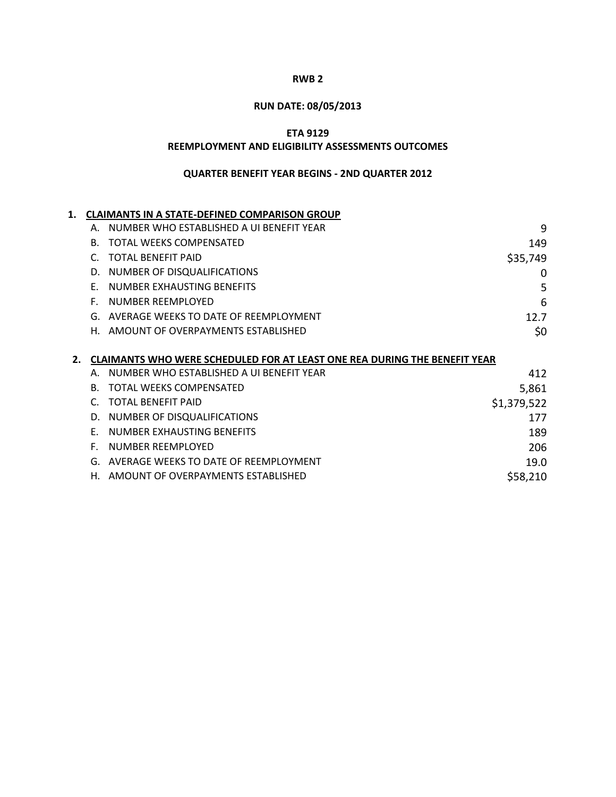# **RUN DATE: 08/05/2013**

## **ETA 9129**

### **REEMPLOYMENT AND ELIGIBILITY ASSESSMENTS OUTCOMES**

| 1. |    | <b>CLAIMANTS IN A STATE-DEFINED COMPARISON GROUP</b>                             |             |
|----|----|----------------------------------------------------------------------------------|-------------|
|    | Α. | NUMBER WHO ESTABLISHED A UI BENEFIT YEAR                                         | 9           |
|    | B. | TOTAL WEEKS COMPENSATED                                                          | 149         |
|    |    | <b>TOTAL BENEFIT PAID</b>                                                        | \$35,749    |
|    | D. | NUMBER OF DISQUALIFICATIONS                                                      | $\Omega$    |
|    | F. | NUMBER EXHAUSTING BENEFITS                                                       | 5           |
|    | F. | NUMBER REEMPLOYED                                                                | 6           |
|    | G. | AVERAGE WEEKS TO DATE OF REEMPLOYMENT                                            | 12.7        |
|    | Н. | AMOUNT OF OVERPAYMENTS ESTABLISHED                                               | \$0         |
|    |    |                                                                                  |             |
|    |    | <b>CLAIMANTS WHO WERE SCHEDULED FOR AT LEAST ONE REA DURING THE BENEFIT YEAR</b> |             |
|    | A. | NUMBER WHO ESTABLISHED A UI BENEFIT YEAR                                         | 412         |
|    | B. | TOTAL WEEKS COMPENSATED                                                          | 5,861       |
|    |    | <b>TOTAL BENEFIT PAID</b>                                                        | \$1,379,522 |
|    | D. | NUMBER OF DISQUALIFICATIONS                                                      | 177         |
|    | F. | NUMBER EXHAUSTING BENEFITS                                                       | 189         |
|    | E. | NUMBER REEMPLOYED                                                                | 206         |
|    | G. | AVERAGE WEEKS TO DATE OF REEMPLOYMENT                                            | 19.0        |
|    | Н. | AMOUNT OF OVERPAYMENTS ESTABLISHED                                               | \$58,210    |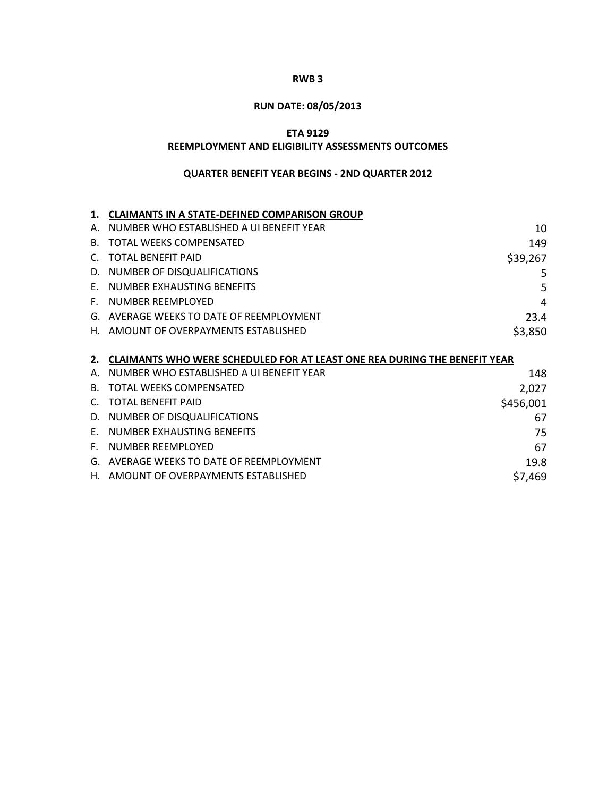# **RUN DATE: 08/05/2013**

# **ETA 9129**

### **REEMPLOYMENT AND ELIGIBILITY ASSESSMENTS OUTCOMES**

|           | <b>CLAIMANTS IN A STATE-DEFINED COMPARISON GROUP</b>                             |           |
|-----------|----------------------------------------------------------------------------------|-----------|
| Α.        | NUMBER WHO ESTABLISHED A UI BENEFIT YEAR                                         | 10        |
| В.        | TOTAL WEEKS COMPENSATED                                                          | 149       |
|           | <b>TOTAL BENEFIT PAID</b>                                                        | \$39,267  |
| D.        | NUMBER OF DISQUALIFICATIONS                                                      | 5         |
| F.        | NUMBER EXHAUSTING BENEFITS                                                       | 5         |
| F.        | NUMBER REEMPLOYED                                                                | 4         |
|           | G. AVERAGE WEEKS TO DATE OF REEMPLOYMENT                                         | 23.4      |
|           | H. AMOUNT OF OVERPAYMENTS ESTABLISHED                                            | \$3,850   |
|           |                                                                                  |           |
|           |                                                                                  |           |
| 2.        | <b>CLAIMANTS WHO WERE SCHEDULED FOR AT LEAST ONE REA DURING THE BENEFIT YEAR</b> |           |
| Α.        | NUMBER WHO ESTABLISHED A UI BENEFIT YEAR                                         | 148       |
| <b>B.</b> | TOTAL WEEKS COMPENSATED                                                          | 2,027     |
|           | <b>TOTAL BENEFIT PAID</b>                                                        | \$456,001 |
| D.        | NUMBER OF DISQUALIFICATIONS                                                      | 67        |
| F.        | NUMBER EXHAUSTING BENEFITS                                                       | 75        |
| E.        | NUMBER REEMPLOYED                                                                | 67        |
| G.        | AVERAGE WEEKS TO DATE OF REEMPLOYMENT                                            | 19.8      |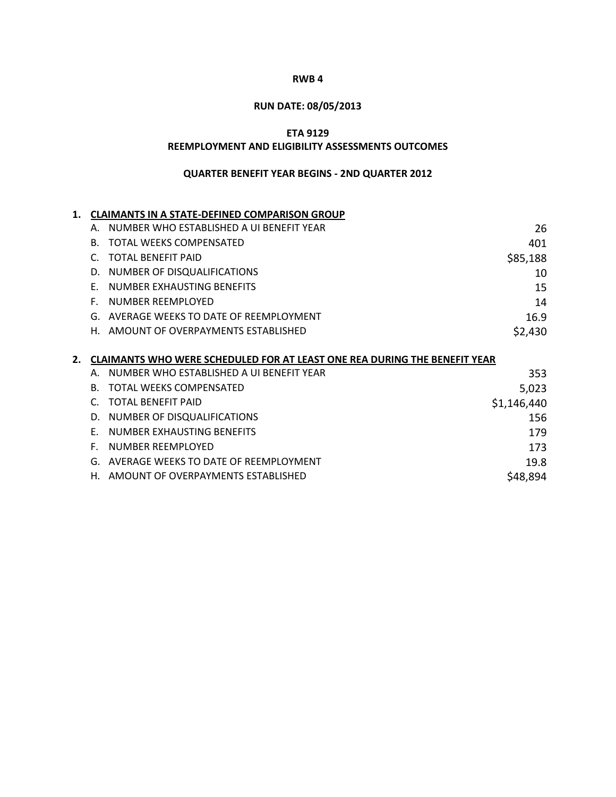# **RUN DATE: 08/05/2013**

## **ETA 9129**

### **REEMPLOYMENT AND ELIGIBILITY ASSESSMENTS OUTCOMES**

|                | <b>CLAIMANTS IN A STATE-DEFINED COMPARISON GROUP</b>                             |             |
|----------------|----------------------------------------------------------------------------------|-------------|
| А.             | NUMBER WHO ESTABLISHED A UI BENEFIT YEAR                                         | 26          |
| В.             | TOTAL WEEKS COMPENSATED                                                          | 401         |
|                | <b>TOTAL BENEFIT PAID</b>                                                        | \$85,188    |
| D.             | NUMBER OF DISQUALIFICATIONS                                                      | 10          |
| F.             | NUMBER EXHAUSTING BENEFITS                                                       | 15          |
| F.             | NUMBER REEMPLOYED                                                                | 14          |
| G.             | AVERAGE WEEKS TO DATE OF REEMPLOYMENT                                            | 16.9        |
| Η.             | AMOUNT OF OVERPAYMENTS ESTABLISHED                                               | \$2,430     |
|                |                                                                                  |             |
|                |                                                                                  |             |
|                | <b>CLAIMANTS WHO WERE SCHEDULED FOR AT LEAST ONE REA DURING THE BENEFIT YEAR</b> |             |
| А.             | NUMBER WHO ESTABLISHED A UI BENEFIT YEAR                                         | 353         |
| $\mathsf{B}$ . | TOTAL WEEKS COMPENSATED                                                          | 5,023       |
| C.             | <b>TOTAL BENEFIT PAID</b>                                                        | \$1,146,440 |
| D.             | NUMBER OF DISQUALIFICATIONS                                                      | 156         |
| F.             | NUMBER EXHAUSTING BENEFITS                                                       | 179         |
| F.             | NUMBER REEMPLOYED                                                                | 173         |
| G.             | AVERAGE WEEKS TO DATE OF REEMPLOYMENT                                            | 19.8        |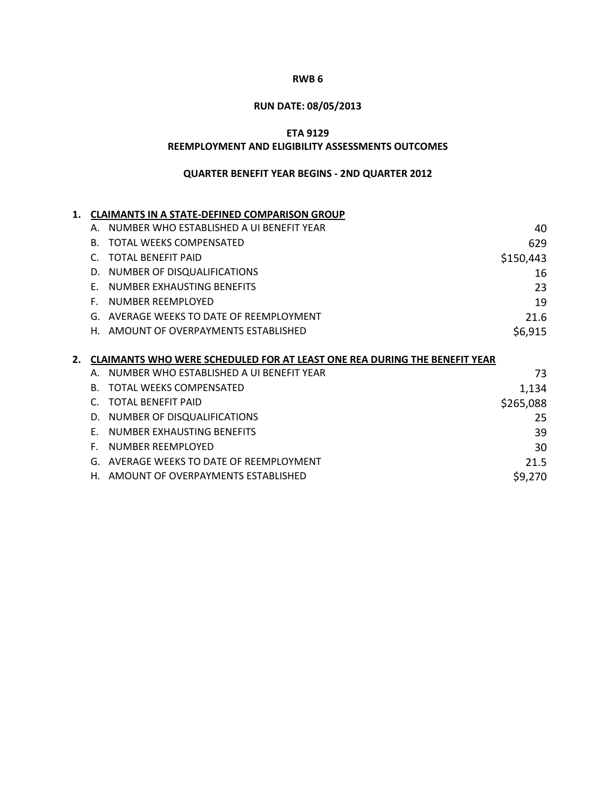# **RUN DATE: 08/05/2013**

## **ETA 9129**

### **REEMPLOYMENT AND ELIGIBILITY ASSESSMENTS OUTCOMES**

|                | <b>CLAIMANTS IN A STATE-DEFINED COMPARISON GROUP</b>                             |           |
|----------------|----------------------------------------------------------------------------------|-----------|
| А.             | NUMBER WHO ESTABLISHED A UI BENEFIT YEAR                                         | 40        |
| В.             | TOTAL WEEKS COMPENSATED                                                          | 629       |
|                | <b>TOTAL BENEFIT PAID</b>                                                        | \$150,443 |
| D.             | NUMBER OF DISQUALIFICATIONS                                                      | 16        |
| F.             | NUMBER EXHAUSTING BENEFITS                                                       | 23        |
| F.             | NUMBER REEMPLOYED                                                                | 19        |
| G.             | AVERAGE WEEKS TO DATE OF REEMPLOYMENT                                            | 21.6      |
| Н.             | AMOUNT OF OVERPAYMENTS ESTABLISHED                                               | \$6,915   |
|                |                                                                                  |           |
|                |                                                                                  |           |
|                | <b>CLAIMANTS WHO WERE SCHEDULED FOR AT LEAST ONE REA DURING THE BENEFIT YEAR</b> |           |
| А.             | NUMBER WHO ESTABLISHED A UI BENEFIT YEAR                                         | 73        |
| $\mathsf{B}$ . | <b>TOTAL WEEKS COMPENSATED</b>                                                   | 1,134     |
| C.             | <b>TOTAL BENEFIT PAID</b>                                                        | \$265,088 |
| D.             | NUMBER OF DISQUALIFICATIONS                                                      | 25        |
| F.             | NUMBER EXHAUSTING BENEFITS                                                       | 39        |
| F.             | NUMBER REEMPLOYED                                                                | 30        |
| G.             | AVERAGE WEEKS TO DATE OF REEMPLOYMENT                                            | 21.5      |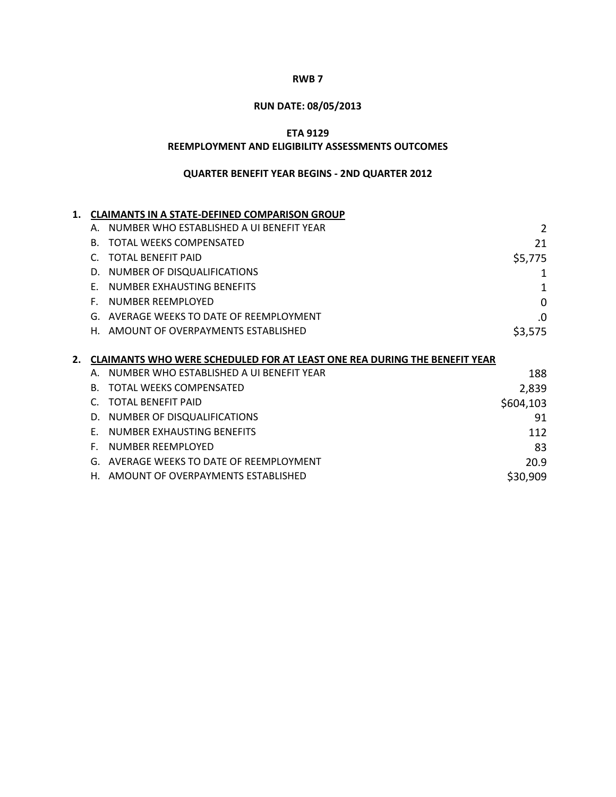# **RUN DATE: 08/05/2013**

## **ETA 9129**

### **REEMPLOYMENT AND ELIGIBILITY ASSESSMENTS OUTCOMES**

| 1. |    | <b>CLAIMANTS IN A STATE-DEFINED COMPARISON GROUP</b>                             |           |
|----|----|----------------------------------------------------------------------------------|-----------|
|    | Α. | NUMBER WHO ESTABLISHED A UI BENEFIT YEAR                                         | 2         |
|    | В. | <b>TOTAL WEEKS COMPENSATED</b>                                                   | 21        |
|    | C. | <b>TOTAL BENEFIT PAID</b>                                                        | \$5,775   |
|    | D. | NUMBER OF DISQUALIFICATIONS                                                      | 1         |
|    | F. | NUMBER EXHAUSTING BENEFITS                                                       | 1         |
|    | F. | NUMBER REEMPLOYED                                                                | $\Omega$  |
|    | G. | AVERAGE WEEKS TO DATE OF REEMPLOYMENT                                            | .0        |
|    | Н. | AMOUNT OF OVERPAYMENTS ESTABLISHED                                               | \$3,575   |
|    |    |                                                                                  |           |
|    |    |                                                                                  |           |
|    |    | <b>CLAIMANTS WHO WERE SCHEDULED FOR AT LEAST ONE REA DURING THE BENEFIT YEAR</b> |           |
|    | А. | NUMBER WHO ESTABLISHED A UI BENEFIT YEAR                                         | 188.      |
|    | В. | <b>TOTAL WEEKS COMPENSATED</b>                                                   | 2,839     |
|    | C. | <b>TOTAL BENEFIT PAID</b>                                                        | \$604,103 |
|    | D. | NUMBER OF DISQUALIFICATIONS                                                      | 91        |
|    | F. | NUMBER EXHAUSTING BENEFITS                                                       | 112       |
|    | F. | <b>NUMBER REEMPLOYED</b>                                                         | 83        |
|    | G. | AVERAGE WEEKS TO DATE OF REEMPLOYMENT                                            | 20.9      |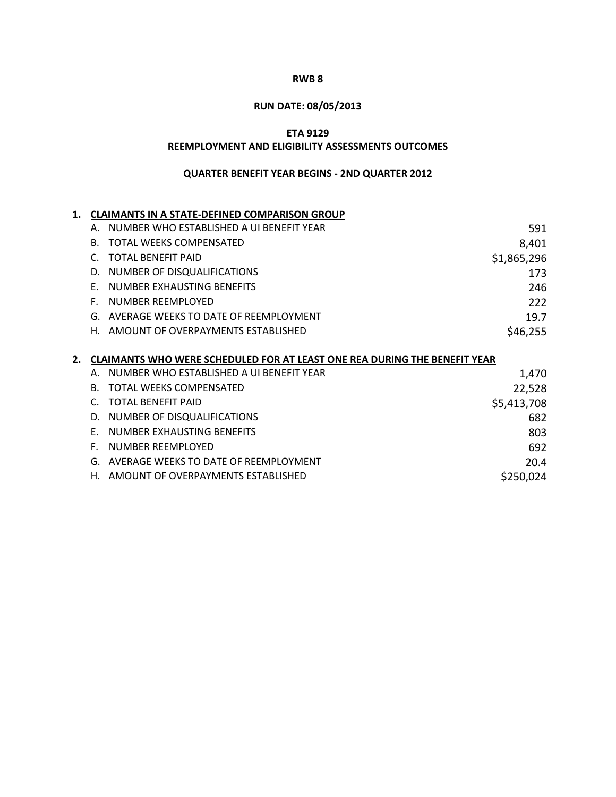# **RUN DATE: 08/05/2013**

## **ETA 9129**

### **REEMPLOYMENT AND ELIGIBILITY ASSESSMENTS OUTCOMES**

| 1. |    | <b>CLAIMANTS IN A STATE-DEFINED COMPARISON GROUP</b>                             |             |
|----|----|----------------------------------------------------------------------------------|-------------|
|    | А. | NUMBER WHO ESTABLISHED A UI BENEFIT YEAR                                         | 591         |
|    | В. | <b>TOTAL WEEKS COMPENSATED</b>                                                   | 8,401       |
|    | C. | <b>TOTAL BENEFIT PAID</b>                                                        | \$1,865,296 |
|    | D. | NUMBER OF DISQUALIFICATIONS                                                      | 173         |
|    | F. | NUMBER EXHAUSTING BENEFITS                                                       | 246         |
|    | F. | NUMBER REEMPLOYED                                                                | 222         |
|    | G. | AVERAGE WEEKS TO DATE OF REEMPLOYMENT                                            | 19.7        |
|    | Н. | AMOUNT OF OVERPAYMENTS ESTABLISHED                                               | \$46,255    |
|    |    |                                                                                  |             |
|    |    |                                                                                  |             |
|    |    | <b>CLAIMANTS WHO WERE SCHEDULED FOR AT LEAST ONE REA DURING THE BENEFIT YEAR</b> |             |
|    | А. | NUMBER WHO ESTABLISHED A UI BENEFIT YEAR                                         | 1,470       |
|    | B. | <b>TOTAL WEEKS COMPENSATED</b>                                                   | 22,528      |
|    | C. | <b>TOTAL BENEFIT PAID</b>                                                        | \$5,413,708 |
|    | D. | NUMBER OF DISQUALIFICATIONS                                                      | 682         |
|    | F. | NUMBER EXHAUSTING BENEFITS                                                       | 803         |
|    | F. | NUMBER REEMPLOYED                                                                | 692         |
|    | G. | AVERAGE WEEKS TO DATE OF REEMPLOYMENT                                            | 20.4        |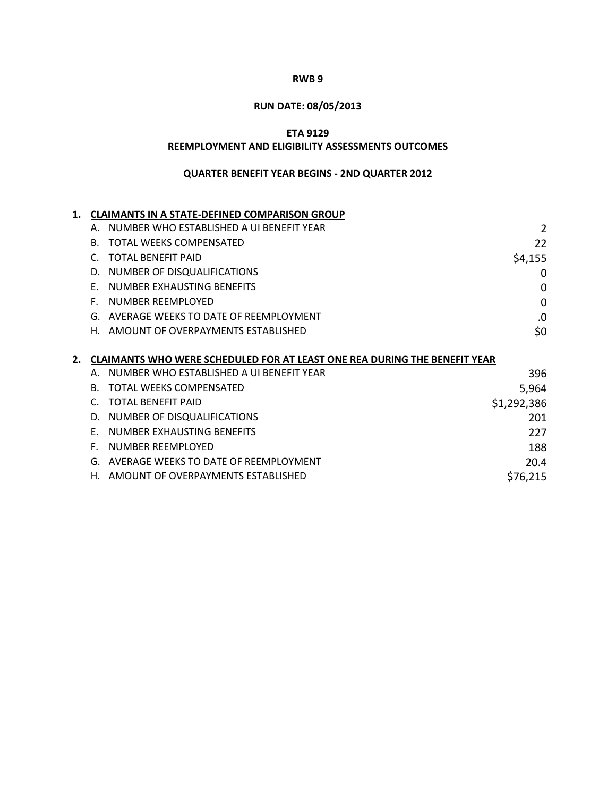# **RUN DATE: 08/05/2013**

## **ETA 9129**

### **REEMPLOYMENT AND ELIGIBILITY ASSESSMENTS OUTCOMES**

|    | <b>CLAIMANTS IN A STATE-DEFINED COMPARISON GROUP</b>                             |             |
|----|----------------------------------------------------------------------------------|-------------|
| Α. | NUMBER WHO ESTABLISHED A UI BENEFIT YEAR                                         | 2           |
| В. | TOTAL WEEKS COMPENSATED                                                          | 22          |
|    | <b>TOTAL BENEFIT PAID</b>                                                        | \$4,155     |
| D. | NUMBER OF DISQUALIFICATIONS                                                      | 0           |
| F. | NUMBER EXHAUSTING BENEFITS                                                       | $\Omega$    |
| F. | NUMBER REEMPLOYED                                                                | $\Omega$    |
| G. | AVERAGE WEEKS TO DATE OF REEMPLOYMENT                                            | .0          |
| Н. | AMOUNT OF OVERPAYMENTS ESTABLISHED                                               | \$0         |
|    |                                                                                  |             |
|    |                                                                                  |             |
|    | <b>CLAIMANTS WHO WERE SCHEDULED FOR AT LEAST ONE REA DURING THE BENEFIT YEAR</b> |             |
| А. | NUMBER WHO ESTABLISHED A UI BENEFIT YEAR                                         | 396         |
| B. | <b>TOTAL WEEKS COMPENSATED</b>                                                   | 5,964       |
| C. | <b>TOTAL BENEFIT PAID</b>                                                        | \$1,292,386 |
| D. | NUMBER OF DISQUALIFICATIONS                                                      | 201         |
| F. | NUMBER EXHAUSTING BENEFITS                                                       | 227         |
| F. | NUMBER REEMPLOYED                                                                | 188         |
| G. | AVERAGE WEEKS TO DATE OF REEMPLOYMENT                                            | 20.4        |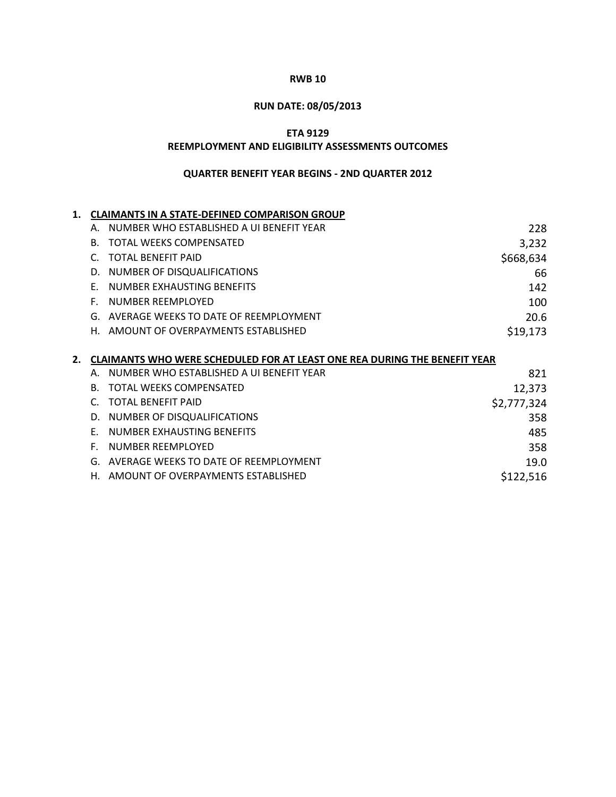# **RUN DATE: 08/05/2013**

## **ETA 9129**

### **REEMPLOYMENT AND ELIGIBILITY ASSESSMENTS OUTCOMES**

|                | <b>CLAIMANTS IN A STATE-DEFINED COMPARISON GROUP</b>                             |             |
|----------------|----------------------------------------------------------------------------------|-------------|
| Α.             | NUMBER WHO ESTABLISHED A UI BENEFIT YEAR                                         | 228         |
| В.             | TOTAL WEEKS COMPENSATED                                                          | 3,232       |
| C.             | <b>TOTAL BENEFIT PAID</b>                                                        | \$668,634   |
| D.             | NUMBER OF DISQUALIFICATIONS                                                      | 66          |
| F.             | NUMBER EXHAUSTING BENEFITS                                                       | 142         |
| F.             | NUMBER REEMPLOYED                                                                | 100         |
| G.             | AVERAGE WEEKS TO DATE OF REEMPLOYMENT                                            | 20.6        |
| Η.             | AMOUNT OF OVERPAYMENTS ESTABLISHED                                               | \$19,173    |
|                |                                                                                  |             |
|                |                                                                                  |             |
|                | <b>CLAIMANTS WHO WERE SCHEDULED FOR AT LEAST ONE REA DURING THE BENEFIT YEAR</b> |             |
| А.             | NUMBER WHO ESTABLISHED A UI BENEFIT YEAR                                         | 821         |
| $\mathsf{B}$ . | <b>TOTAL WEEKS COMPENSATED</b>                                                   | 12,373      |
| C.             | <b>TOTAL BENEFIT PAID</b>                                                        | \$2,777,324 |
| D.             | NUMBER OF DISQUALIFICATIONS                                                      | 358         |
| F.             | NUMBER EXHAUSTING BENEFITS                                                       | 485         |
| F.             | NUMBER REEMPLOYED                                                                | 358         |
| G.             | AVERAGE WEEKS TO DATE OF REEMPLOYMENT                                            | 19.0        |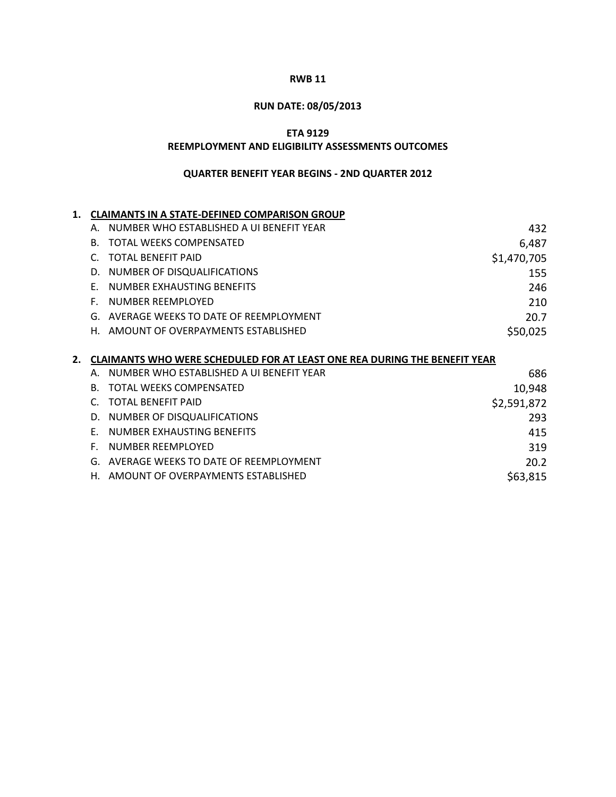# **RUN DATE: 08/05/2013**

## **ETA 9129**

### **REEMPLOYMENT AND ELIGIBILITY ASSESSMENTS OUTCOMES**

| 1. |    | <b>CLAIMANTS IN A STATE-DEFINED COMPARISON GROUP</b>                             |             |
|----|----|----------------------------------------------------------------------------------|-------------|
|    | Α. | NUMBER WHO ESTABLISHED A UI BENEFIT YEAR                                         | 432         |
|    | В. | TOTAL WEEKS COMPENSATED                                                          | 6,487       |
|    | C. | <b>TOTAL BENEFIT PAID</b>                                                        | \$1,470,705 |
|    | D. | NUMBER OF DISQUALIFICATIONS                                                      | 155         |
|    | F. | NUMBER EXHAUSTING BENEFITS                                                       | 246         |
|    | F. | NUMBER REEMPLOYED                                                                | 210         |
|    | G. | AVERAGE WEEKS TO DATE OF REEMPLOYMENT                                            | 20.7        |
|    | Н. | AMOUNT OF OVERPAYMENTS ESTABLISHED                                               | \$50,025    |
|    |    |                                                                                  |             |
|    |    |                                                                                  |             |
| 2. |    | <b>CLAIMANTS WHO WERE SCHEDULED FOR AT LEAST ONE REA DURING THE BENEFIT YEAR</b> |             |
|    | А. | NUMBER WHO ESTABLISHED A UI BENEFIT YEAR                                         | 686         |
|    | B. | <b>TOTAL WEEKS COMPENSATED</b>                                                   | 10,948      |
|    | C. | <b>TOTAL BENEFIT PAID</b>                                                        | \$2,591,872 |
|    | D. | NUMBER OF DISQUALIFICATIONS                                                      | 293         |
|    | F. | NUMBER EXHAUSTING BENEFITS                                                       | 415         |
|    | F. | NUMBER REEMPLOYED                                                                | 319         |
|    | G. | AVERAGE WEEKS TO DATE OF REEMPLOYMENT                                            | 20.2        |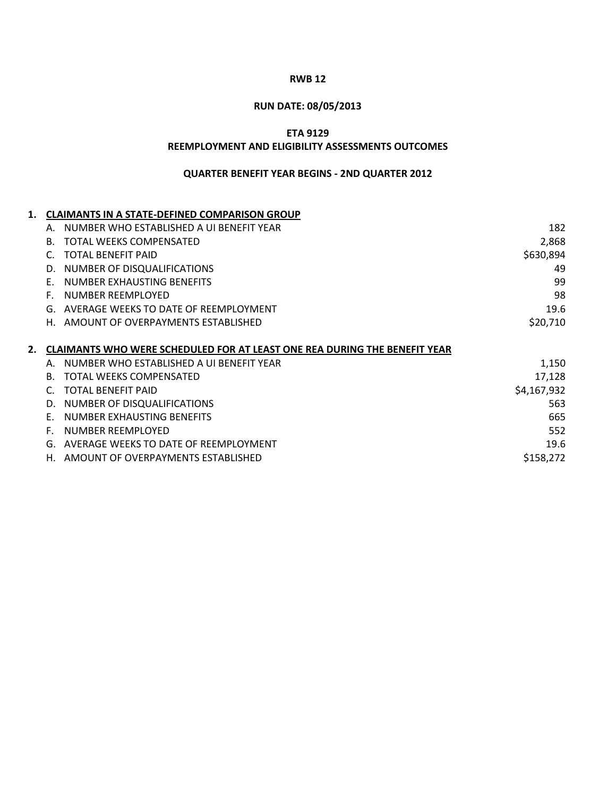## **RUN DATE: 08/05/2013**

## **ETA 9129**

### **REEMPLOYMENT AND ELIGIBILITY ASSESSMENTS OUTCOMES**

| 1. | <b>CLAIMANTS IN A STATE-DEFINED COMPARISON GROUP</b>                             |             |
|----|----------------------------------------------------------------------------------|-------------|
|    | NUMBER WHO ESTABLISHED A UI BENEFIT YEAR<br>Α.                                   | 182         |
|    | <b>TOTAL WEEKS COMPENSATED</b>                                                   | 2,868       |
|    | <b>TOTAL BENEFIT PAID</b>                                                        | \$630,894   |
|    | NUMBER OF DISQUALIFICATIONS                                                      | 49          |
|    | NUMBER EXHAUSTING BENEFITS                                                       | 99          |
|    | NUMBER REEMPLOYED<br>F.                                                          | 98          |
|    | AVERAGE WEEKS TO DATE OF REEMPLOYMENT<br>G.                                      | 19.6        |
|    | AMOUNT OF OVERPAYMENTS ESTABLISHED<br>Н.                                         | \$20,710    |
| 2. | <b>CLAIMANTS WHO WERE SCHEDULED FOR AT LEAST ONE REA DURING THE BENEFIT YEAR</b> |             |
|    | NUMBER WHO ESTABLISHED A UI BENEFIT YEAR                                         | 1,150       |
|    | <b>TOTAL WEEKS COMPENSATED</b>                                                   | 17,128      |
|    | <b>TOTAL BENEFIT PAID</b>                                                        | \$4,167,932 |
|    | NUMBER OF DISQUALIFICATIONS<br>D.                                                | 563         |
|    | NUMBER EXHAUSTING BENEFITS                                                       | 665         |
|    | NUMBER REEMPLOYED<br>F.                                                          | 552         |
|    | AVERAGE WEEKS TO DATE OF REEMPLOYMENT<br>G.                                      | 19.6        |
|    | AMOUNT OF OVERPAYMENTS ESTABLISHED<br>Н.                                         | \$158,272   |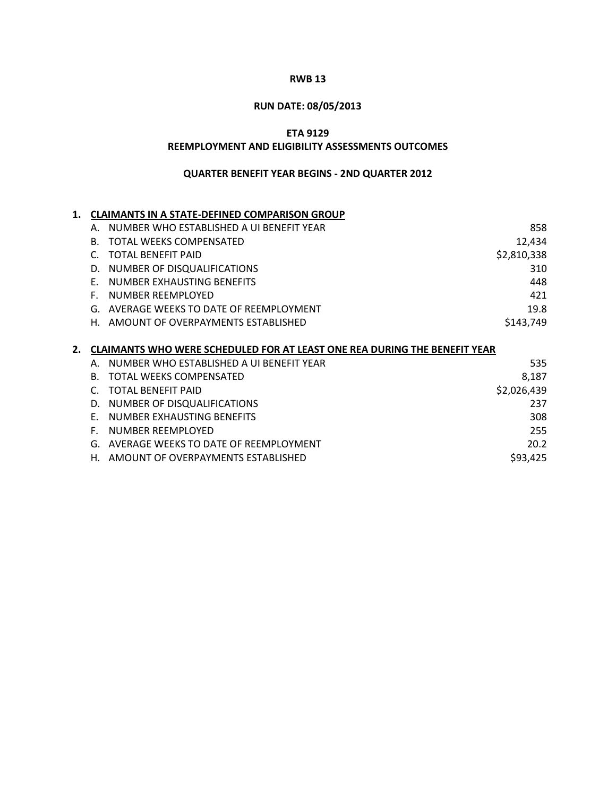### **RUN DATE: 08/05/2013**

### **ETA 9129**

#### **REEMPLOYMENT AND ELIGIBILITY ASSESSMENTS OUTCOMES**

#### **QUARTER BENEFIT YEAR BEGINS - 2ND QUARTER 2012**

# **1. CLAIMANTS IN A STATE-DEFINED COMPARISON GROUP** A. NUMBER WHO ESTABLISHED A UI BENEFIT YEAR **1998 CONTROLLY SEEN ASSAULT ASSAULT ASSAULT** ASSAULT ASSAULT ASSAULT ASSAULT ASSAULT ASSAULT ASSAULT ASSAULT ASSAULT ASSAULT ASSAULT ASSAULT ASSAULT ASSAULT ASSAULT ASSAULT ASSA B. TOTAL WEEKS COMPENSATED 12,434 C. TOTAL BENEFIT PAID \$2,810,338 D. NUMBER OF DISQUALIFICATIONS 310 E. NUMBER EXHAUSTING BENEFITS 448 F. NUMBER REEMPLOYED 421 G. AVERAGE WEEKS TO DATE OF REEMPLOYMENT THE SAME RESOLUTION OF A 19.8 H. AMOUNT OF OVERPAYMENTS ESTABLISHED **SALLS AND SEE A SET A SET A SET A SET A** S143,749 **2. CLAIMANTS WHO WERE SCHEDULED FOR AT LEAST ONE REA DURING THE BENEFIT YEAR** A. NUMBER WHO ESTABLISHED A UI BENEFIT YEAR SERVICE SERVICE SERVICE SERVICE SERVICE SERVICE SERVICE SERVICE SE B. TOTAL WEEKS COMPENSATED 8,187 C. TOTAL BENEFIT PAID **\$2,026,439** D. NUMBER OF DISQUALIFICATIONS 237 E. NUMBER EXHAUSTING BENEFITS 308 F. NUMBER REEMPLOYED 255

G. AVERAGE WEEKS TO DATE OF REEMPLOYMENT **ALCOREGY 1000 ASSESSMENT** 20.2 H. AMOUNT OF OVERPAYMENTS ESTABLISHED **SHOULD ASSESSED ASSESS** \$93,425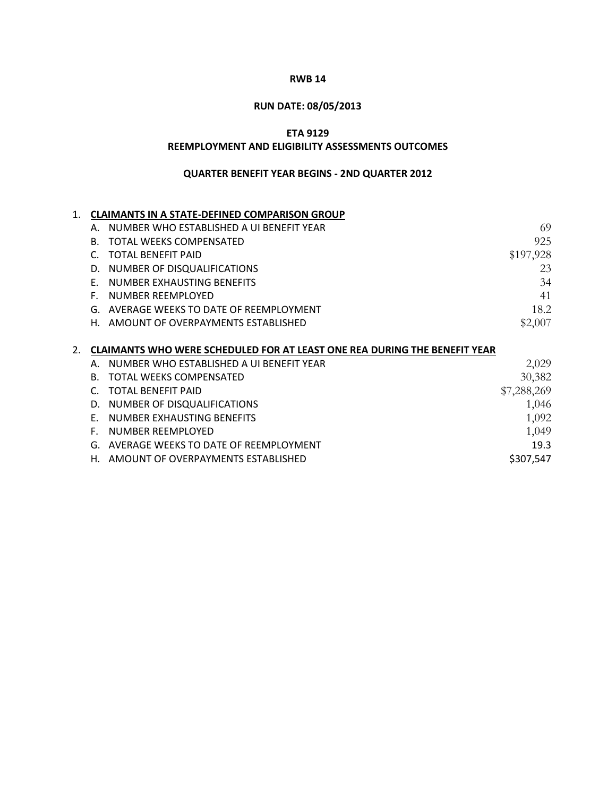## **RUN DATE: 08/05/2013**

## **ETA 9129**

### **REEMPLOYMENT AND ELIGIBILITY ASSESSMENTS OUTCOMES**

| 1. |    | <b>CLAIMANTS IN A STATE-DEFINED COMPARISON GROUP</b>                      |             |
|----|----|---------------------------------------------------------------------------|-------------|
|    | Α. | NUMBER WHO ESTABLISHED A UI BENEFIT YEAR                                  | 69          |
|    | B. | <b>TOTAL WEEKS COMPENSATED</b>                                            | 925         |
|    |    | <b>TOTAL BENEFIT PAID</b>                                                 | \$197,928   |
|    | D. | NUMBER OF DISQUALIFICATIONS                                               | 23          |
|    | F. | NUMBER EXHAUSTING BENEFITS                                                | 34          |
|    | F. | NUMBER REEMPLOYED                                                         | 41          |
|    | G. | AVERAGE WEEKS TO DATE OF REEMPLOYMENT                                     | 18.2        |
|    | Н. | AMOUNT OF OVERPAYMENTS ESTABLISHED                                        | \$2,007     |
|    |    |                                                                           |             |
|    |    |                                                                           |             |
| 2. |    | CLAIMANTS WHO WERE SCHEDULED FOR AT LEAST ONE REA DURING THE BENEFIT YEAR |             |
|    | Α. | NUMBER WHO ESTABLISHED A UI BENEFIT YEAR                                  | 2,029       |
|    | B. | <b>TOTAL WEEKS COMPENSATED</b>                                            | 30,382      |
|    | C  | <b>TOTAL BENEFIT PAID</b>                                                 | \$7,288,269 |
|    | D. | NUMBER OF DISQUALIFICATIONS                                               | 1,046       |
|    | F. | NUMBER EXHAUSTING BENEFITS                                                | 1,092       |
|    | F. | <b>NUMBER REEMPLOYED</b>                                                  | 1,049       |
|    | G. | AVERAGE WEEKS TO DATE OF REEMPLOYMENT                                     | 19.3        |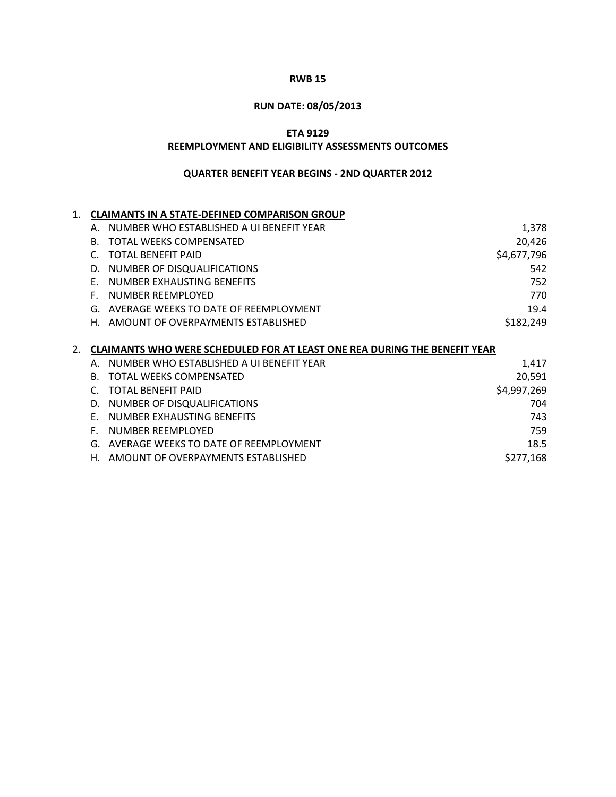#### **RUN DATE: 08/05/2013**

### **ETA 9129**

#### **REEMPLOYMENT AND ELIGIBILITY ASSESSMENTS OUTCOMES**

#### **QUARTER BENEFIT YEAR BEGINS - 2ND QUARTER 2012**

# 1. **CLAIMANTS IN A STATE-DEFINED COMPARISON GROUP** A. NUMBER WHO ESTABLISHED A UI BENEFIT YEAR 1,378 B. TOTAL WEEKS COMPENSATED 20,426 C. TOTAL BENEFIT PAID \$4,677,796 D. NUMBER OF DISQUALIFICATIONS 542 E. NUMBER EXHAUSTING BENEFITS 752 F. NUMBER REEMPLOYED **The State of the State of Table 1999** and the State of Table 1999 and Table 1999 and Table 1999 and Table 1999 and Table 1999 and Table 1999 and Table 1999 and Table 1999 and Table 1999 and Table 1999 G. AVERAGE WEEKS TO DATE OF REEMPLOYMENT THE SAME RESOLUTION OF A 19.4 H. AMOUNT OF OVERPAYMENTS ESTABLISHED **SALLS AND SEE A SEE A SEE A SEE A SEE A** S182,249 2. **CLAIMANTS WHO WERE SCHEDULED FOR AT LEAST ONE REA DURING THE BENEFIT YEAR** A. NUMBER WHO ESTABLISHED A UI BENEFIT YEAR 1,417 AM AND 1,417 B. TOTAL WEEKS COMPENSATED 20,591 C. TOTAL BENEFIT PAID **SALES ARE A SERVER ASSAULTED** SALES \$4,997,269 D. NUMBER OF DISQUALIFICATIONS **704** E. NUMBER EXHAUSTING BENEFITS 743 F. NUMBER REEMPLOYED 759

G. AVERAGE WEEKS TO DATE OF REEMPLOYMENT **18.5** 18.5 H. AMOUNT OF OVERPAYMENTS ESTABLISHED **SEXUAL SEXUAL SEXUAL SEXUAL SEXUAL SEXUAL SEXUAL SEXUAL SEXUAL SEXUAL SEXU**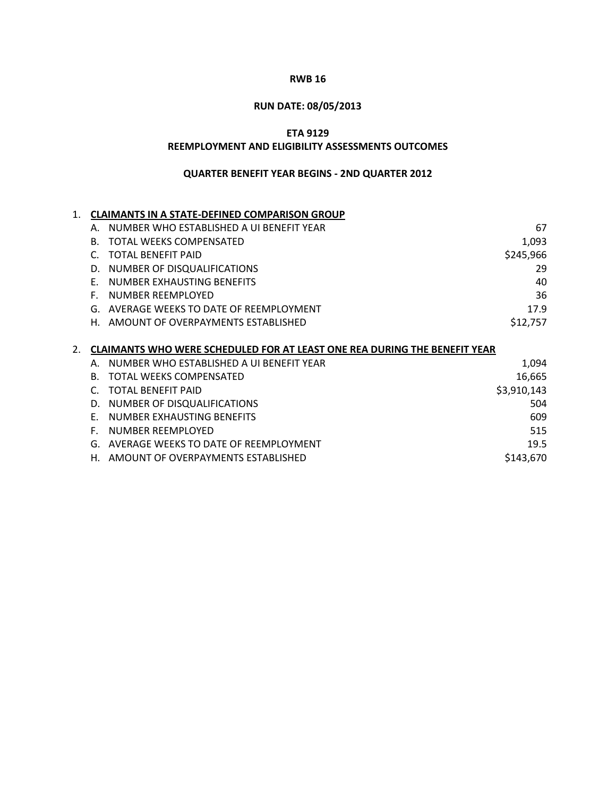### **RUN DATE: 08/05/2013**

### **ETA 9129**

#### **REEMPLOYMENT AND ELIGIBILITY ASSESSMENTS OUTCOMES**

#### **QUARTER BENEFIT YEAR BEGINS - 2ND QUARTER 2012**

# 1. **CLAIMANTS IN A STATE-DEFINED COMPARISON GROUP** A. NUMBER WHO ESTABLISHED A UI BENEFIT YEAR **67** 67 B. TOTAL WEEKS COMPENSATED 1,093 C. TOTAL BENEFIT PAID \$245,966 D. NUMBER OF DISQUALIFICATIONS 29 E. NUMBER EXHAUSTING BENEFITS 40 F. NUMBER REEMPLOYED 36 G. AVERAGE WEEKS TO DATE OF REEMPLOYMENT THE STATE OF A SECOND 17.9 H. AMOUNT OF OVERPAYMENTS ESTABLISHED **SALLS ARE ASSESSED** \$12,757 2. **CLAIMANTS WHO WERE SCHEDULED FOR AT LEAST ONE REA DURING THE BENEFIT YEAR** A. NUMBER WHO ESTABLISHED A UI BENEFIT YEAR 1,094 B. TOTAL WEEKS COMPENSATED 16,665 C. TOTAL BENEFIT PAID **\$3,910,143** D. NUMBER OF DISQUALIFICATIONS 504 E. NUMBER EXHAUSTING BENEFITS **EXECUTE A SEXUAL EXECUTE A SEXUAL EXECUTE A SEXUAL EXECUTIVE A SEXUAL EXECUTIVE** F. NUMBER REEMPLOYED 615 G. AVERAGE WEEKS TO DATE OF REEMPLOYMENT THE SAME RESOLUTION OF A 19.5

H. AMOUNT OF OVERPAYMENTS ESTABLISHED **SEEMING A SEAL ASSAULT A SEAL ASSAULT** S143,670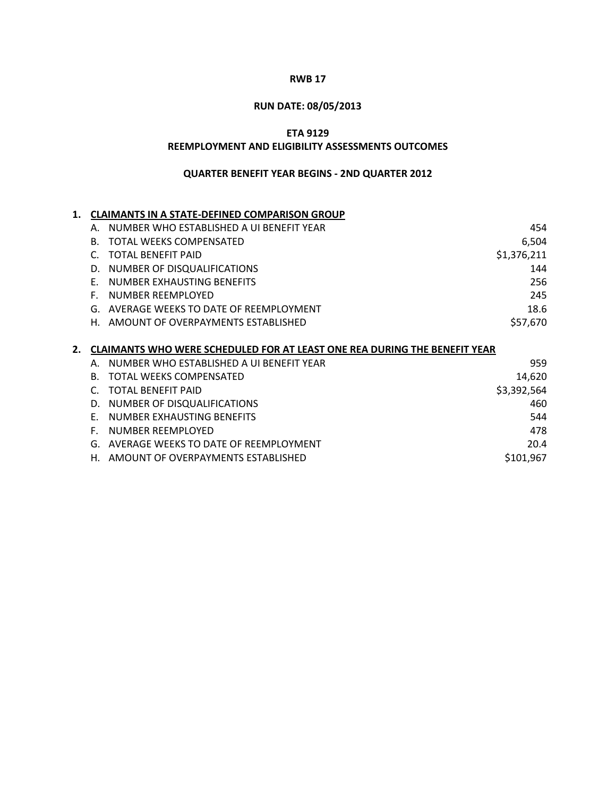### **RUN DATE: 08/05/2013**

### **ETA 9129**

#### **REEMPLOYMENT AND ELIGIBILITY ASSESSMENTS OUTCOMES**

#### **QUARTER BENEFIT YEAR BEGINS - 2ND QUARTER 2012**

# **1. CLAIMANTS IN A STATE-DEFINED COMPARISON GROUP** A. NUMBER WHO ESTABLISHED A UI BENEFIT YEAR 454 B. TOTAL WEEKS COMPENSATED 6,504 C. TOTAL BENEFIT PAID \$1,376,211 D. NUMBER OF DISQUALIFICATIONS 144 E. NUMBER EXHAUSTING BENEFITS 256 F. NUMBER REEMPLOYED 245 G. AVERAGE WEEKS TO DATE OF REEMPLOYMENT THE SAME RESOLUTION OF A 18.6 H. AMOUNT OF OVERPAYMENTS ESTABLISHED **SELLS AND SETTED ASSAULT ASSAULT** S57,670 **2. CLAIMANTS WHO WERE SCHEDULED FOR AT LEAST ONE REA DURING THE BENEFIT YEAR** A. NUMBER WHO ESTABLISHED A UI BENEFIT YEAR **FILLION CONTROLLY SEEN ASSAULT ASSAULT** SEEN ASSESSED. B. TOTAL WEEKS COMPENSATED 14,620 C. TOTAL BENEFIT PAID **S3,392,564** D. NUMBER OF DISQUALIFICATIONS 460 E. NUMBER EXHAUSTING BENEFITS 544 F. NUMBER REEMPLOYED 478

G. AVERAGE WEEKS TO DATE OF REEMPLOYMENT **ALCOREGY 1000 ASSESSMENT** 20.4 H. AMOUNT OF OVERPAYMENTS ESTABLISHED **SUMPLISHED** \$101,967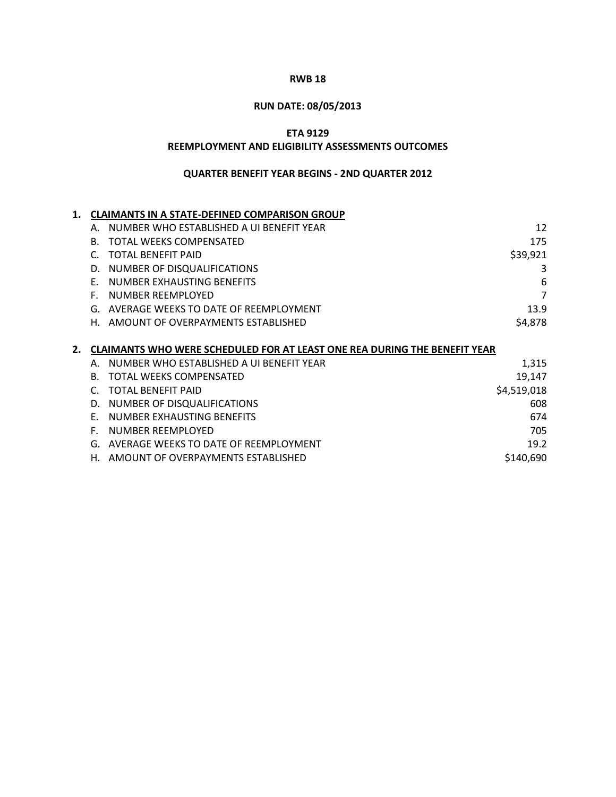# **RUN DATE: 08/05/2013**

## **ETA 9129**

### **REEMPLOYMENT AND ELIGIBILITY ASSESSMENTS OUTCOMES**

# **QUARTER BENEFIT YEAR BEGINS - 2ND QUARTER 2012**

| 1. |    | <b>CLAIMANTS IN A STATE-DEFINED COMPARISON GROUP</b>                      |             |
|----|----|---------------------------------------------------------------------------|-------------|
|    | А. | NUMBER WHO ESTABLISHED A UI BENEFIT YEAR                                  | 12          |
|    | B. | <b>TOTAL WEEKS COMPENSATED</b>                                            | 175         |
|    |    | <b>TOTAL BENEFIT PAID</b>                                                 | \$39,921    |
|    | D. | NUMBER OF DISQUALIFICATIONS                                               | 3           |
|    | F. | NUMBER EXHAUSTING BENEFITS                                                | 6           |
|    | F. | NUMBER REEMPLOYED                                                         | 7           |
|    |    | G. AVERAGE WEEKS TO DATE OF REEMPLOYMENT                                  | 13.9        |
|    | Н. | AMOUNT OF OVERPAYMENTS ESTABLISHED                                        | \$4,878     |
|    |    |                                                                           |             |
| 2. |    | CLAIMANTS WHO WERE SCHEDULED FOR AT LEAST ONE REA DURING THE BENEFIT YEAR |             |
|    |    | NUMBER WHO ESTABLISHED A UI BENEFIT YEAR                                  | 1,315       |
|    | B. | <b>TOTAL WEEKS COMPENSATED</b>                                            | 19,147      |
|    | C. | <b>TOTAL BENEFIT PAID</b>                                                 | \$4,519,018 |
|    | D. | NUMBER OF DISQUALIFICATIONS                                               | 608         |
|    | F. | NUMBER EXHAUSTING BENEFITS                                                | 674         |
|    | F. | NUMBER REEMPLOYED                                                         | 705         |
|    | G. | AVERAGE WEEKS TO DATE OF REEMPLOYMENT                                     | 19.2        |

H. AMOUNT OF OVERPAYMENTS ESTABLISHED \$140,690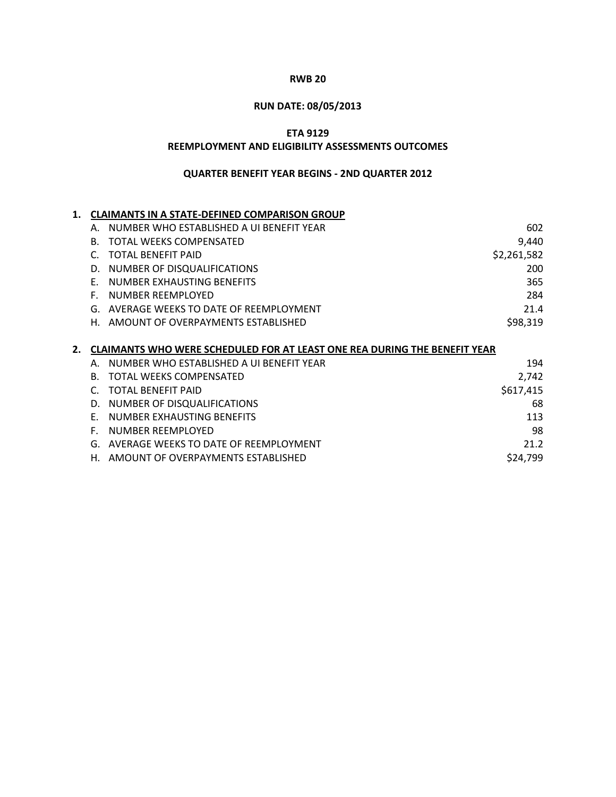### **RUN DATE: 08/05/2013**

### **ETA 9129**

#### **REEMPLOYMENT AND ELIGIBILITY ASSESSMENTS OUTCOMES**

### **QUARTER BENEFIT YEAR BEGINS - 2ND QUARTER 2012**

# **1. CLAIMANTS IN A STATE-DEFINED COMPARISON GROUP** A. NUMBER WHO ESTABLISHED A UI BENEFIT YEAR **FIRM A SET ALL ASSAULT ASSAULT** A GO2 B. TOTAL WEEKS COMPENSATED 8.49 and 3.440 million of the state of the state of the state of the state of the state of the state of the state of the state of the state of the state of the state of the state of the state of C. TOTAL BENEFIT PAID \$2,261,582 D. NUMBER OF DISQUALIFICATIONS 200 E. NUMBER EXHAUSTING BENEFITS 365 F. NUMBER REEMPLOYED 284 G. AVERAGE WEEKS TO DATE OF REEMPLOYMENT **A SECULIARY 1999 CONTAINS 21.4** H. AMOUNT OF OVERPAYMENTS ESTABLISHED **SALLS ARE A SET ASSESSED ASSESS 2. CLAIMANTS WHO WERE SCHEDULED FOR AT LEAST ONE REA DURING THE BENEFIT YEAR** A. NUMBER WHO ESTABLISHED A UI BENEFIT YEAR 194 B. TOTAL WEEKS COMPENSATED 2,742 C. TOTAL BENEFIT PAID **\$617,415** D. NUMBER OF DISQUALIFICATIONS 68 E. NUMBER EXHAUSTING BENEFITS 113 F. NUMBER REEMPLOYED 98 G. AVERAGE WEEKS TO DATE OF REEMPLOYMENT 21.2

H. AMOUNT OF OVERPAYMENTS ESTABLISHED **S24,799**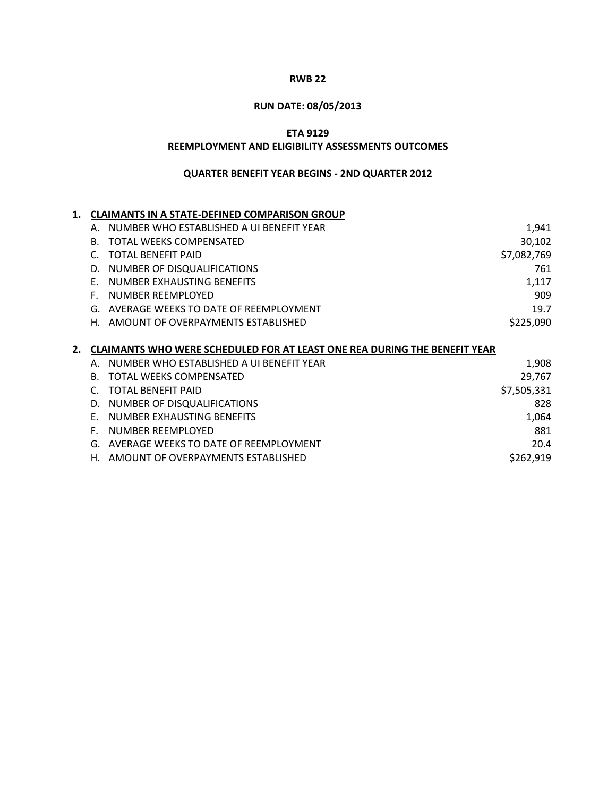### **RUN DATE: 08/05/2013**

### **ETA 9129**

#### **REEMPLOYMENT AND ELIGIBILITY ASSESSMENTS OUTCOMES**

#### **QUARTER BENEFIT YEAR BEGINS - 2ND QUARTER 2012**

# **1. CLAIMANTS IN A STATE-DEFINED COMPARISON GROUP** A. NUMBER WHO ESTABLISHED A UI BENEFIT YEAR 1,941 B. TOTAL WEEKS COMPENSATED 30,102 C. TOTAL BENEFIT PAID \$7,082,769 D. NUMBER OF DISQUALIFICATIONS 761 E. NUMBER EXHAUSTING BENEFITS **1,117** F. NUMBER REEMPLOYED 909 G. AVERAGE WEEKS TO DATE OF REEMPLOYMENT **19.7** 19.7 H. AMOUNT OF OVERPAYMENTS ESTABLISHED **SALL ALL ASSESS AND A SEXUAL SEXUAL AREA** S225,090 **2. CLAIMANTS WHO WERE SCHEDULED FOR AT LEAST ONE REA DURING THE BENEFIT YEAR** A. NUMBER WHO ESTABLISHED A UI BENEFIT YEAR 1,908 B. TOTAL WEEKS COMPENSATED 29,767 C. TOTAL BENEFIT PAID **\$7,505,331** D. NUMBER OF DISQUALIFICATIONS 828 E. NUMBER EXHAUSTING BENEFITS 1,064 F. NUMBER REEMPLOYED 881 G. AVERAGE WEEKS TO DATE OF REEMPLOYMENT **ALCOREGY 1000 ASSESSMENT** 20.4

H. AMOUNT OF OVERPAYMENTS ESTABLISHED **SEXUAL SEXUAL SEXUAL SEXUAL SEXUAL SEXUAL SEXUAL SEXUAL SEXUAL SEXUAL SEXU**